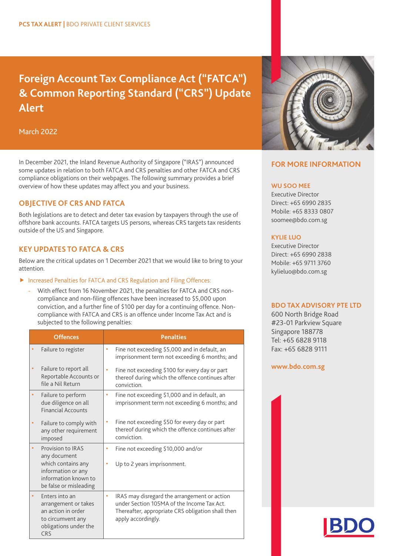# **Foreign Account Tax Compliance Act ("FATCA") & Common Reporting Standard ("CRS") Update Alert**

March 2022

In December 2021, the Inland Revenue Authority of Singapore ("IRAS") announced some updates in relation to both FATCA and CRS penalties and other FATCA and CRS compliance obligations on their webpages. The following summary provides a brief overview of how these updates may affect you and your business.

# **OBJECTIVE OF CRS AND FATCA**

Both legislations are to detect and deter tax evasion by taxpayers through the use of offshore bank accounts. FATCA targets US persons, whereas CRS targets tax residents outside of the US and Singapore.

## **KEY UPDATES TO FATCA & CRS**

Below are the critical updates on 1 December 2021 that we would like to bring to your attention.

### **F** Increased Penalties for FATCA and CRS Regulation and Filing Offences:

With effect from 16 November 2021, the penalties for FATCA and CRS noncompliance and non-filing offences have been increased to \$5,000 upon conviction, and a further fine of \$100 per day for a continuing offence. Noncompliance with FATCA and CRS is an offence under Income Tax Act and is subjected to the following penalties:

| <b>Offences</b> |                                                                                                                                 | <b>Penalties</b>                                                                                                                                                           |
|-----------------|---------------------------------------------------------------------------------------------------------------------------------|----------------------------------------------------------------------------------------------------------------------------------------------------------------------------|
| ٠               | Failure to register                                                                                                             | Fine not exceeding \$5,000 and in default, an<br>۸<br>imprisonment term not exceeding 6 months; and                                                                        |
| ٠               | Failure to report all<br>Reportable Accounts or<br>file a Nil Return                                                            | Fine not exceeding \$100 for every day or part<br>×<br>thereof during which the offence continues after<br>conviction.                                                     |
| ٠               | Failure to perform<br>due diligence on all<br><b>Financial Accounts</b>                                                         | Fine not exceeding \$1,000 and in default, an<br>٠<br>imprisonment term not exceeding 6 months; and                                                                        |
| ٠               | Failure to comply with<br>any other requirement<br>imposed                                                                      | Fine not exceeding \$50 for every day or part<br>٠<br>thereof during which the offence continues after<br>conviction.                                                      |
| ×.              | Provision to IRAS<br>any document<br>which contains any<br>information or any<br>information known to<br>be false or misleading | Fine not exceeding \$10,000 and/or<br>a,<br>Up to 2 years imprisonment.<br>п                                                                                               |
| ٠               | Enters into an<br>arrangement or takes<br>an action in order<br>to circumvent any<br>obligations under the<br><b>CRS</b>        | IRAS may disregard the arrangement or action<br>×<br>under Section 105MA of the Income Tax Act.<br>Thereafter, appropriate CRS obligation shall then<br>apply accordingly. |



# **FOR MORE INFORMATION**

#### **WU SOO MEE**

Executive Director Direct: +65 6990 2835 Mobile: +65 8333 0807 soomee@bdo.com.sg

#### **KYLIE LUO**

Executive Director Direct: +65 6990 2838 Mobile: +65 9711 3760 kylieluo@bdo.com.sg

#### **BDO TAX ADVISORY PTE LTD**

600 North Bridge Road #23-01 Parkview Square Singapore 188778 Tel: +65 6828 9118 Fax: +65 6828 9111

**[www.bdo.com.sg](https://www.bdo.com.sg)**

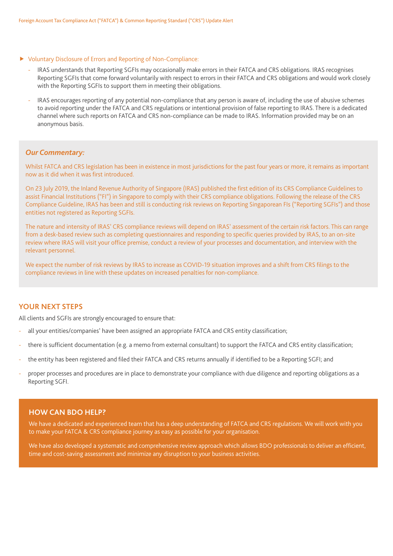- Voluntary Disclosure of Errors and Reporting of Non-Compliance:
	- IRAS understands that Reporting SGFIs may occasionally make errors in their FATCA and CRS obligations. IRAS recognises Reporting SGFIs that come forward voluntarily with respect to errors in their FATCA and CRS obligations and would work closely with the Reporting SGFIs to support them in meeting their obligations.
	- IRAS encourages reporting of any potential non-compliance that any person is aware of, including the use of abusive schemes to avoid reporting under the FATCA and CRS regulations or intentional provision of false reporting to IRAS. There is a dedicated channel where such reports on FATCA and CRS non-compliance can be made to IRAS. Information provided may be on an anonymous basis.

#### *Our Commentary:*

Whilst FATCA and CRS legislation has been in existence in most jurisdictions for the past four years or more, it remains as important now as it did when it was first introduced.

On 23 July 2019, the Inland Revenue Authority of Singapore (IRAS) published the first edition of its CRS Compliance Guidelines to assist Financial Institutions ("FI") in Singapore to comply with their CRS compliance obligations. Following the release of the CRS Compliance Guideline, IRAS has been and still is conducting risk reviews on Reporting Singaporean FIs ("Reporting SGFIs") and those entities not registered as Reporting SGFIs.

The nature and intensity of IRAS' CRS compliance reviews will depend on IRAS' assessment of the certain risk factors. This can range from a desk-based review such as completing questionnaires and responding to specific queries provided by IRAS, to an on-site review where IRAS will visit your office premise, conduct a review of your processes and documentation, and interview with the relevant personnel.

We expect the number of risk reviews by IRAS to increase as COVID-19 situation improves and a shift from CRS filings to the compliance reviews in line with these updates on increased penalties for non-compliance.

## **YOUR NEXT STEPS**

All clients and SGFIs are strongly encouraged to ensure that:

- all your entities/companies' have been assigned an appropriate FATCA and CRS entity classification;
- there is sufficient documentation (e.g. a memo from external consultant) to support the FATCA and CRS entity classification;
- the entity has been registered and filed their FATCA and CRS returns annually if identified to be a Reporting SGFI; and
- proper processes and procedures are in place to demonstrate your compliance with due diligence and reporting obligations as a Reporting SGFI.

## **HOW CAN BDO HELP?**

We have a dedicated and experienced team that has a deep understanding of FATCA and CRS regulations. We will work with you to make your FATCA & CRS compliance journey as easy as possible for your organisation.

We have also developed a systematic and comprehensive review approach which allows BDO professionals to deliver an efficient, time and cost-saving assessment and minimize any disruption to your business activities.